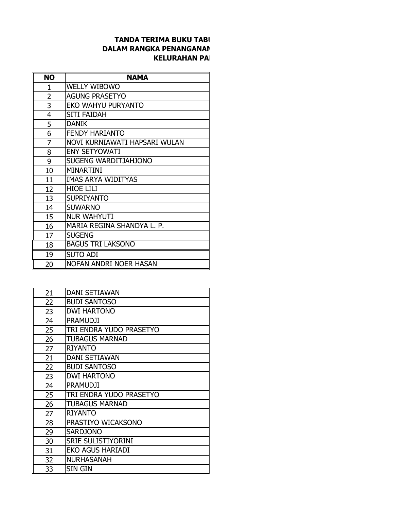## **TANDA TERIMA BUKU TABI DALAM RANGKA PENANGANAN KELURAHAN PA**

| <b>NO</b> | <b>NAMA</b>                   |
|-----------|-------------------------------|
| 1         | <b>WELLY WIBOWO</b>           |
| 2         | <b>AGUNG PRASETYO</b>         |
| 3         | EKO WAHYU PURYANTO            |
| 4         | <b>SITI FAIDAH</b>            |
| 5         | <b>DANIK</b>                  |
| 6         | <b>FENDY HARIANTO</b>         |
| 7         | NOVI KURNIAWATI HAPSARI WULAN |
| 8         | <b>ENY SETYOWATI</b>          |
| 9         | SUGENG WARDITJAHJONO          |
| 10        | <b>MINARTINI</b>              |
| 11        | <b>IMAS ARYA WIDITYAS</b>     |
| 12        | <b>HIOE LILI</b>              |
| 13        | <b>SUPRIYANTO</b>             |
| 14        | <b>SUWARNO</b>                |
| 15        | <b>NUR WAHYUTI</b>            |
| 16        | MARIA REGINA SHANDYA L. P.    |
| 17        | <b>SUGENG</b>                 |
| 18        | <b>BAGUS TRI LAKSONO</b>      |
| 19        | <b>SUTO ADI</b>               |
| 20        | NOFAN ANDRI NOER HASAN        |

| 21 | <b>DANI SETIAWAN</b>      |
|----|---------------------------|
| 22 | <b>BUDI SANTOSO</b>       |
| 23 | <b>DWI HARTONO</b>        |
| 24 | <b>PRAMUDJI</b>           |
| 25 | TRI ENDRA YUDO PRASETYO   |
| 26 | <b>TUBAGUS MARNAD</b>     |
| 27 | <b>RIYANTO</b>            |
| 21 | <b>DANI SETIAWAN</b>      |
| 22 | <b>BUDI SANTOSO</b>       |
| 23 | <b>DWI HARTONO</b>        |
| 24 | <b>PRAMUDJI</b>           |
| 25 | TRI ENDRA YUDO PRASETYO   |
| 26 | <b>TUBAGUS MARNAD</b>     |
| 27 | <b>RIYANTO</b>            |
| 28 | PRASTIYO WICAKSONO        |
| 29 | <b>SARDJONO</b>           |
| 30 | <b>SRIE SULISTIYORINI</b> |
| 31 | <b>EKO AGUS HARIADI</b>   |
| 32 | <b>NURHASANAH</b>         |
| 33 | SIN GIN                   |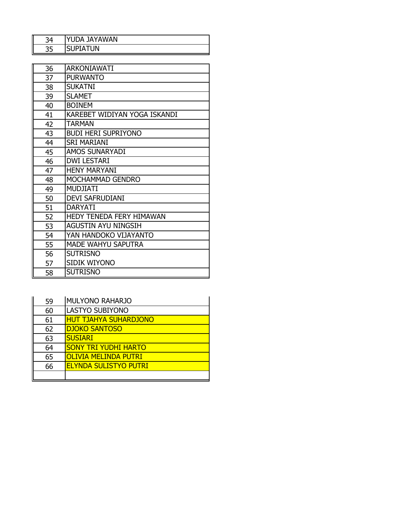| 34 | YUDA JAYAWAN    |
|----|-----------------|
| 35 | <b>SUPIATUN</b> |

| 36 | <b>ARKONIAWATI</b>              |
|----|---------------------------------|
| 37 | <b>PURWANTO</b>                 |
| 38 | <b>SUKATNI</b>                  |
| 39 | <b>SLAMET</b>                   |
| 40 | <b>BOINEM</b>                   |
| 41 | KAREBET WIDIYAN YOGA ISKANDI    |
| 42 | <b>TARMAN</b>                   |
| 43 | <b>BUDI HERI SUPRIYONO</b>      |
| 44 | <b>SRI MARIANI</b>              |
| 45 | <b>AMOS SUNARYADI</b>           |
| 46 | <b>DWI LESTARI</b>              |
| 47 | <b>HENY MARYANI</b>             |
| 48 | MOCHAMMAD GENDRO                |
| 49 | <b>MUDJIATI</b>                 |
| 50 | <b>DEVI SAFRUDIANI</b>          |
| 51 | <b>DARYATI</b>                  |
| 52 | <b>HEDY TENEDA FERY HIMAWAN</b> |
| 53 | <b>AGUSTIN AYU NINGSIH</b>      |
| 54 | YAN HANDOKO VIJAYANTO           |
| 55 | <b>MADE WAHYU SAPUTRA</b>       |
| 56 | <b>SUTRISNO</b>                 |
| 57 | <b>SIDIK WIYONO</b>             |
| 58 | <b>SUTRISNO</b>                 |

| 59 | <b>MULYONO RAHARJO</b>       |
|----|------------------------------|
| 60 | <b>LASTYO SUBIYONO</b>       |
| 61 | <b>HUT TJAHYA SUHARDJONO</b> |
| 62 | <b>DJOKO SANTOSO</b>         |
| 63 | <b>SUSIARI</b>               |
| 64 | <b>SONY TRI YUDHI HARTO</b>  |
| 65 | <b>OLIVIA MELINDA PUTRI</b>  |
| 66 | <b>ELYNDA SULISTYO PUTRI</b> |
|    |                              |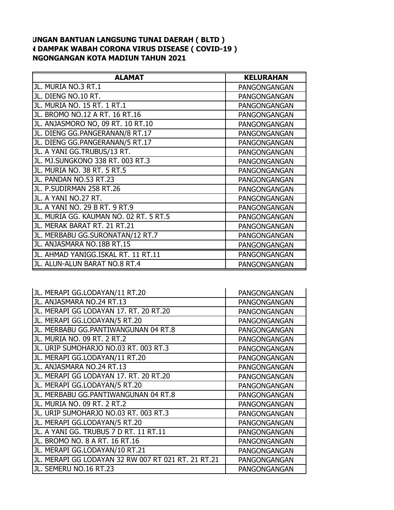## **UNGAN BANTUAN LANGSUNG TUNAI DAERAH ( BLTD ) V DAMPAK WABAH CORONA VIRUS DISEASE ( COVID-19 ) NGONGANGAN KOTA MADIUN TAHUN 2021**

| <b>ALAMAT</b>                          | <b>KELURAHAN</b>    |
|----------------------------------------|---------------------|
| JL. MURIA NO.3 RT.1                    | PANGONGANGAN        |
| JL. DIENG NO.10 RT.                    | PANGONGANGAN        |
| JL. MURIA NO. 15 RT. 1 RT.1            | PANGONGANGAN        |
| JL. BROMO NO.12 A RT. 16 RT.16         | <b>PANGONGANGAN</b> |
| JL. ANJASMORO NO, 09 RT. 10 RT.10      | PANGONGANGAN        |
| JL. DIENG GG.PANGERANAN/8 RT.17        | PANGONGANGAN        |
| JL. DIENG GG.PANGERANAN/5 RT.17        | PANGONGANGAN        |
| JL. A YANI GG.TRUBUS/13 RT.            | PANGONGANGAN        |
| JL. MJ.SUNGKONO 338 RT. 003 RT.3       | PANGONGANGAN        |
| JL. MURIA NO. 38 RT. 5 RT.5            | PANGONGANGAN        |
| JL. PANDAN NO.53 RT.23                 | PANGONGANGAN        |
| JL. P.SUDIRMAN 258 RT.26               | PANGONGANGAN        |
| JL. A YANI NO.27 RT.                   | PANGONGANGAN        |
| JL. A YANI NO. 29 B RT. 9 RT.9         | PANGONGANGAN        |
| JL. MURIA GG. KAUMAN NO. 02 RT. 5 RT.5 | PANGONGANGAN        |
| JL. MERAK BARAT RT. 21 RT.21           | PANGONGANGAN        |
| JL. MERBABU GG.SURONATAN/12 RT.7       | PANGONGANGAN        |
| JL. ANJASMARA NO.18B RT.15             | PANGONGANGAN        |
| JL. AHMAD YANIGG.ISKAL RT. 11 RT.11    | PANGONGANGAN        |
| JL. ALUN-ALUN BARAT NO.8 RT.4          | PANGONGANGAN        |

| JL. MERAPI GG.LODAYAN/11 RT.20                      | PANGONGANGAN |
|-----------------------------------------------------|--------------|
| JL. ANJASMARA NO.24 RT.13                           | PANGONGANGAN |
| JL. MERAPI GG LODAYAN 17. RT. 20 RT.20              | PANGONGANGAN |
| JL. MERAPI GG.LODAYAN/5 RT.20                       | PANGONGANGAN |
| JL. MERBABU GG.PANTIWANGUNAN 04 RT.8                | PANGONGANGAN |
| JL. MURIA NO. 09 RT. 2 RT.2                         | PANGONGANGAN |
| JL. URIP SUMOHARJO NO.03 RT. 003 RT.3               | PANGONGANGAN |
| JL. MERAPI GG.LODAYAN/11 RT.20                      | PANGONGANGAN |
| JL. ANJASMARA NO.24 RT.13                           | PANGONGANGAN |
| JL. MERAPI GG LODAYAN 17. RT. 20 RT.20              | PANGONGANGAN |
| JL. MERAPI GG.LODAYAN/5 RT.20                       | PANGONGANGAN |
| JL. MERBABU GG.PANTIWANGUNAN 04 RT.8                | PANGONGANGAN |
| JL. MURIA NO. 09 RT. 2 RT.2                         | PANGONGANGAN |
| JL. URIP SUMOHARJO NO.03 RT. 003 RT.3               | PANGONGANGAN |
| JL. MERAPI GG.LODAYAN/5 RT.20                       | PANGONGANGAN |
| JL. A YANI GG. TRUBUS 7 D RT. 11 RT.11              | PANGONGANGAN |
| JL. BROMO NO. 8 A RT. 16 RT.16                      | PANGONGANGAN |
| JL. MERAPI GG.LODAYAN/10 RT.21                      | PANGONGANGAN |
| JL. MERAPI GG LODAYAN 32 RW 007 RT 021 RT. 21 RT.21 | PANGONGANGAN |
| JL. SEMERU NO.16 RT.23                              | PANGONGANGAN |